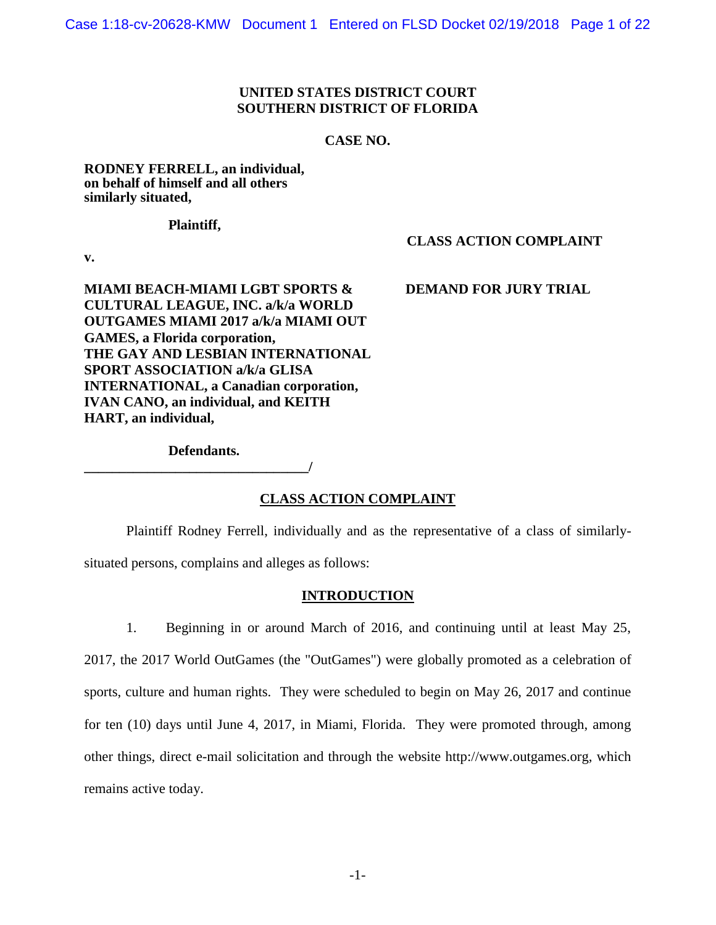#### **UNITED STATES DISTRICT COURT SOUTHERN DISTRICT OF FLORIDA**

#### **CASE NO.**

#### **RODNEY FERRELL, an individual, on behalf of himself and all others similarly situated,**

**Plaintiff,**

 **CLASS ACTION COMPLAINT**

**v.**

**MIAMI BEACH-MIAMI LGBT SPORTS & DEMAND FOR JURY TRIAL CULTURAL LEAGUE, INC. a/k/a WORLD OUTGAMES MIAMI 2017 a/k/a MIAMI OUT GAMES, a Florida corporation, THE GAY AND LESBIAN INTERNATIONAL SPORT ASSOCIATION a/k/a GLISA INTERNATIONAL, a Canadian corporation, IVAN CANO, an individual, and KEITH HART, an individual,**

#### **Defendants.**

**\_\_\_\_\_\_\_\_\_\_\_\_\_\_\_\_\_\_\_\_\_\_\_\_\_\_\_\_\_\_\_\_/**

#### **CLASS ACTION COMPLAINT**

Plaintiff Rodney Ferrell, individually and as the representative of a class of similarly-

situated persons, complains and alleges as follows:

#### **INTRODUCTION**

1. Beginning in or around March of 2016, and continuing until at least May 25, 2017, the 2017 World OutGames (the "OutGames") were globally promoted as a celebration of sports, culture and human rights. They were scheduled to begin on May 26, 2017 and continue for ten (10) days until June 4, 2017, in Miami, Florida. They were promoted through, among other things, direct e-mail solicitation and through the website http://www.outgames.org, which remains active today.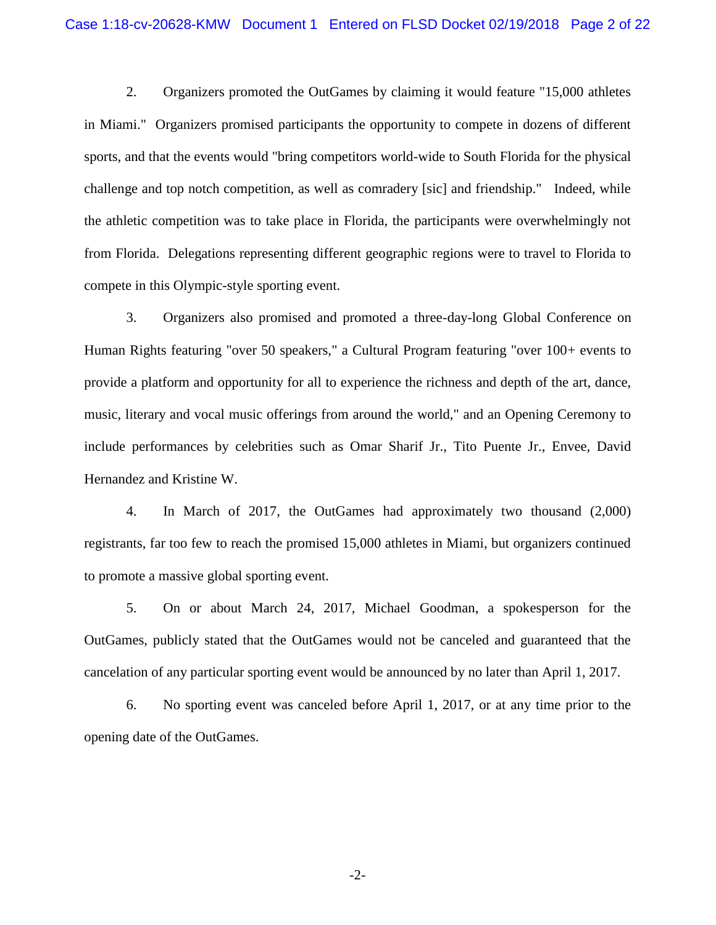2. Organizers promoted the OutGames by claiming it would feature "15,000 athletes in Miami." Organizers promised participants the opportunity to compete in dozens of different sports, and that the events would "bring competitors world-wide to South Florida for the physical challenge and top notch competition, as well as comradery [sic] and friendship." Indeed, while the athletic competition was to take place in Florida, the participants were overwhelmingly not from Florida. Delegations representing different geographic regions were to travel to Florida to compete in this Olympic-style sporting event.

3. Organizers also promised and promoted a three-day-long Global Conference on Human Rights featuring "over 50 speakers," a Cultural Program featuring "over 100+ events to provide a platform and opportunity for all to experience the richness and depth of the art, dance, music, literary and vocal music offerings from around the world," and an Opening Ceremony to include performances by celebrities such as Omar Sharif Jr., Tito Puente Jr., Envee, David Hernandez and Kristine W.

4. In March of 2017, the OutGames had approximately two thousand (2,000) registrants, far too few to reach the promised 15,000 athletes in Miami, but organizers continued to promote a massive global sporting event.

5. On or about March 24, 2017, Michael Goodman, a spokesperson for the OutGames, publicly stated that the OutGames would not be canceled and guaranteed that the cancelation of any particular sporting event would be announced by no later than April 1, 2017.

6. No sporting event was canceled before April 1, 2017, or at any time prior to the opening date of the OutGames.

-2-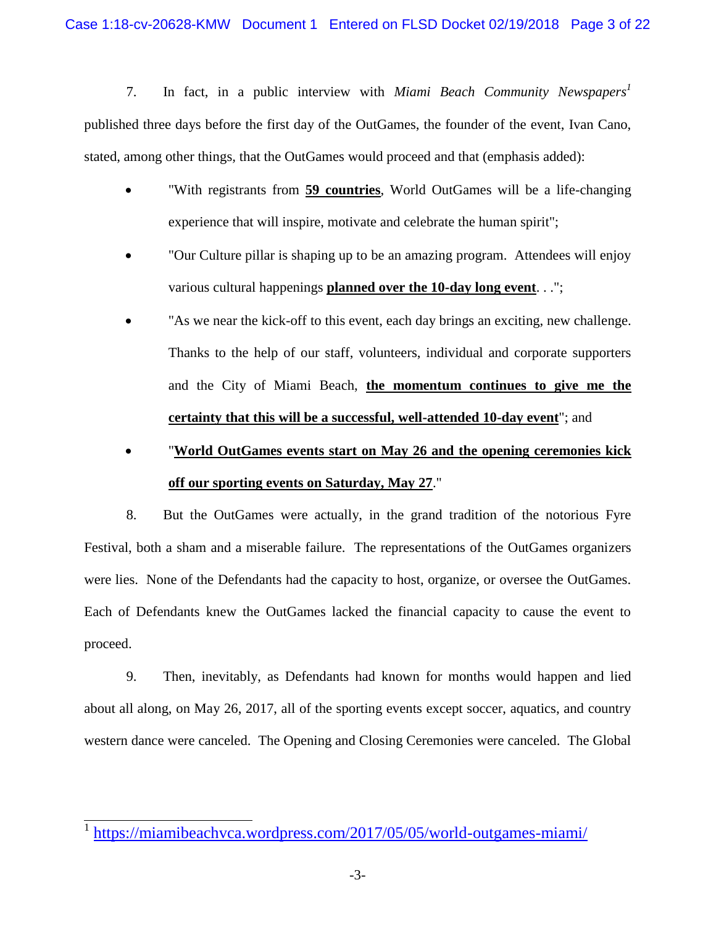7. In fact, in a public interview with *Miami Beach Community Newspapers<sup>1</sup>* published three days before the first day of the OutGames, the founder of the event, Ivan Cano, stated, among other things*,* that the OutGames would proceed and that (emphasis added):

- "With registrants from **59 countries**, World OutGames will be a life-changing experience that will inspire, motivate and celebrate the human spirit";
- "Our Culture pillar is shaping up to be an amazing program. Attendees will enjoy various cultural happenings **planned over the 10-day long event**. . .";
- "As we near the kick-off to this event, each day brings an exciting, new challenge. Thanks to the help of our staff, volunteers, individual and corporate supporters and the City of Miami Beach, **the momentum continues to give me the certainty that this will be a successful, well-attended 10-day event**"; and

# "**World OutGames events start on May 26 and the opening ceremonies kick off our sporting events on Saturday, May 27**."

8. But the OutGames were actually, in the grand tradition of the notorious Fyre Festival, both a sham and a miserable failure. The representations of the OutGames organizers were lies. None of the Defendants had the capacity to host, organize, or oversee the OutGames. Each of Defendants knew the OutGames lacked the financial capacity to cause the event to proceed.

9. Then, inevitably, as Defendants had known for months would happen and lied about all along, on May 26, 2017, all of the sporting events except soccer, aquatics, and country western dance were canceled. The Opening and Closing Ceremonies were canceled. The Global

1 <https://miamibeachvca.wordpress.com/2017/05/05/world-outgames-miami/>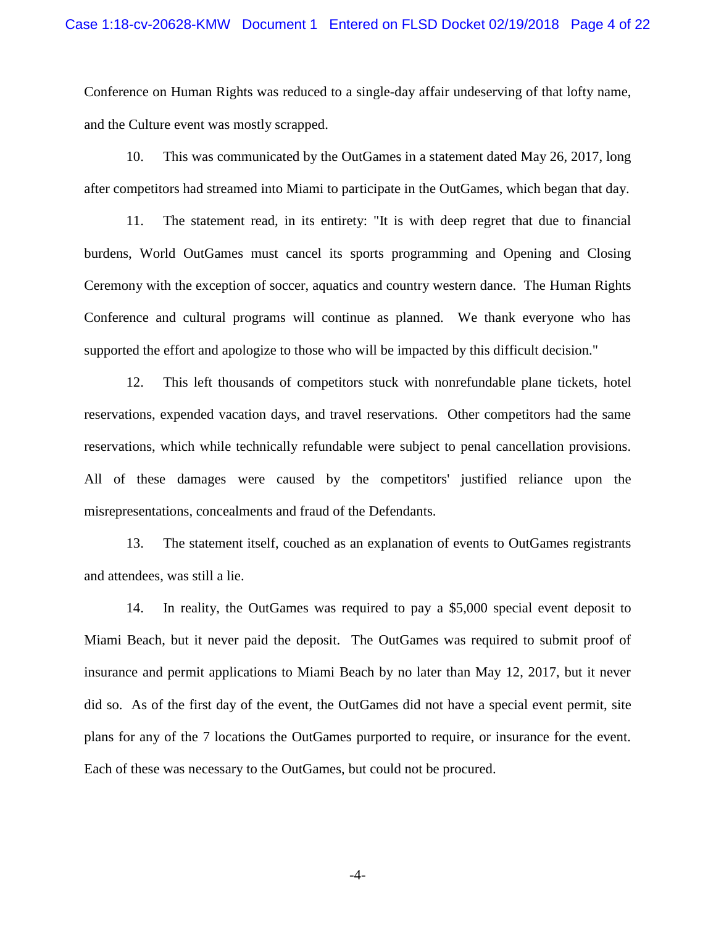Conference on Human Rights was reduced to a single-day affair undeserving of that lofty name, and the Culture event was mostly scrapped.

10. This was communicated by the OutGames in a statement dated May 26, 2017, long after competitors had streamed into Miami to participate in the OutGames, which began that day.

11. The statement read, in its entirety: "It is with deep regret that due to financial burdens, World OutGames must cancel its sports programming and Opening and Closing Ceremony with the exception of soccer, aquatics and country western dance. The Human Rights Conference and cultural programs will continue as planned. We thank everyone who has supported the effort and apologize to those who will be impacted by this difficult decision."

12. This left thousands of competitors stuck with nonrefundable plane tickets, hotel reservations, expended vacation days, and travel reservations. Other competitors had the same reservations, which while technically refundable were subject to penal cancellation provisions. All of these damages were caused by the competitors' justified reliance upon the misrepresentations, concealments and fraud of the Defendants.

13. The statement itself, couched as an explanation of events to OutGames registrants and attendees, was still a lie.

14. In reality, the OutGames was required to pay a \$5,000 special event deposit to Miami Beach, but it never paid the deposit. The OutGames was required to submit proof of insurance and permit applications to Miami Beach by no later than May 12, 2017, but it never did so. As of the first day of the event, the OutGames did not have a special event permit, site plans for any of the 7 locations the OutGames purported to require, or insurance for the event. Each of these was necessary to the OutGames, but could not be procured.

-4-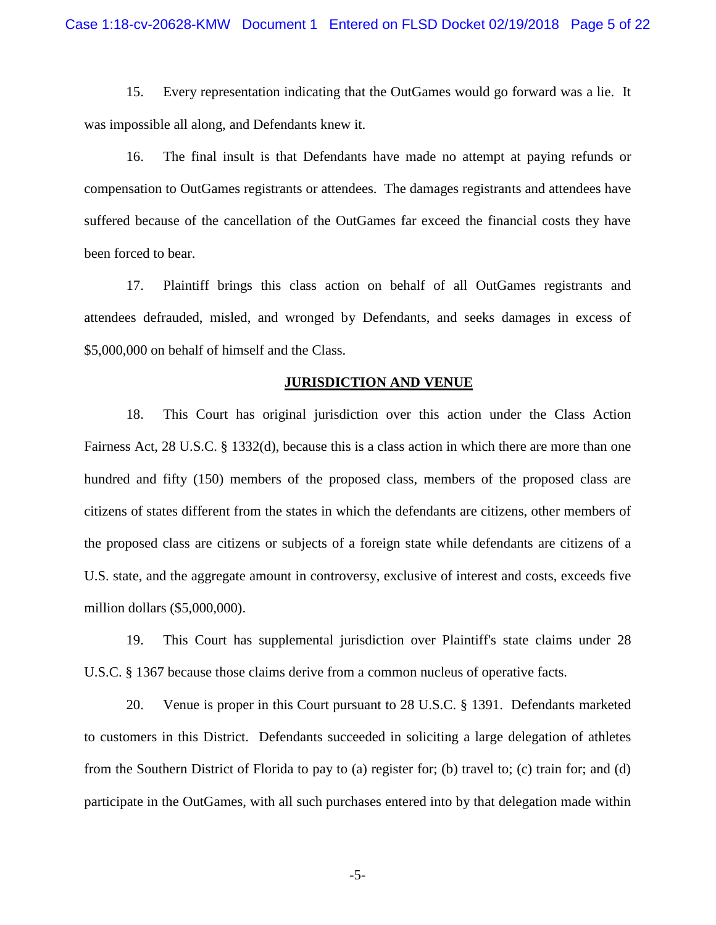15. Every representation indicating that the OutGames would go forward was a lie. It was impossible all along, and Defendants knew it.

16. The final insult is that Defendants have made no attempt at paying refunds or compensation to OutGames registrants or attendees. The damages registrants and attendees have suffered because of the cancellation of the OutGames far exceed the financial costs they have been forced to bear.

17. Plaintiff brings this class action on behalf of all OutGames registrants and attendees defrauded, misled, and wronged by Defendants, and seeks damages in excess of \$5,000,000 on behalf of himself and the Class.

#### **JURISDICTION AND VENUE**

18. This Court has original jurisdiction over this action under the Class Action Fairness Act, 28 U.S.C. § 1332(d), because this is a class action in which there are more than one hundred and fifty (150) members of the proposed class, members of the proposed class are citizens of states different from the states in which the defendants are citizens, other members of the proposed class are citizens or subjects of a foreign state while defendants are citizens of a U.S. state, and the aggregate amount in controversy, exclusive of interest and costs, exceeds five million dollars (\$5,000,000).

19. This Court has supplemental jurisdiction over Plaintiff's state claims under 28 U.S.C. § 1367 because those claims derive from a common nucleus of operative facts.

20. Venue is proper in this Court pursuant to 28 U.S.C. § 1391. Defendants marketed to customers in this District. Defendants succeeded in soliciting a large delegation of athletes from the Southern District of Florida to pay to (a) register for; (b) travel to; (c) train for; and (d) participate in the OutGames, with all such purchases entered into by that delegation made within

-5-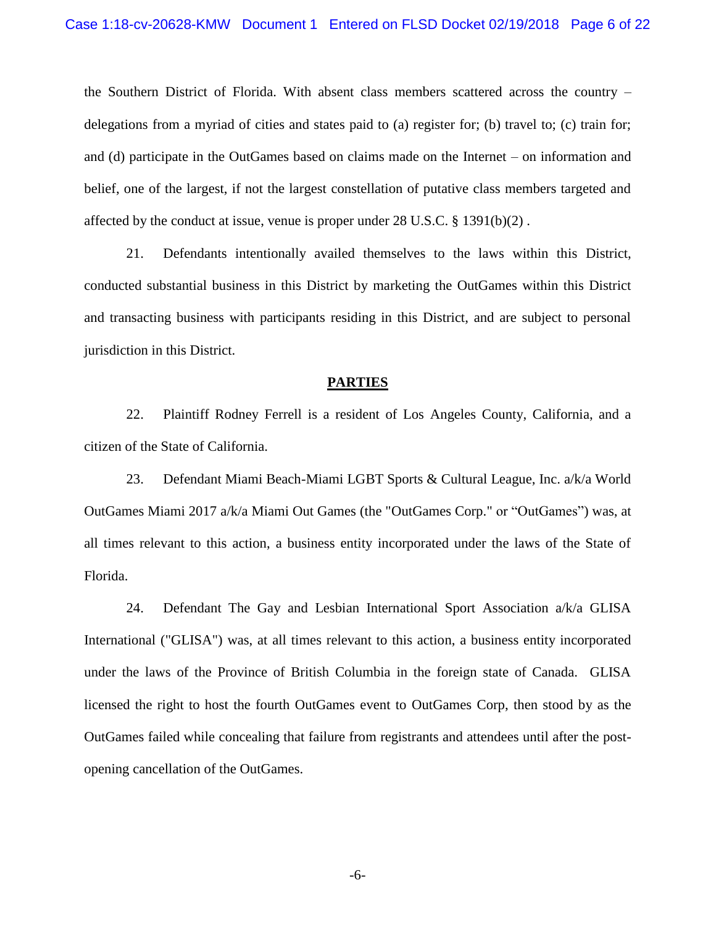the Southern District of Florida. With absent class members scattered across the country – delegations from a myriad of cities and states paid to (a) register for; (b) travel to; (c) train for; and (d) participate in the OutGames based on claims made on the Internet – on information and belief, one of the largest, if not the largest constellation of putative class members targeted and affected by the conduct at issue, venue is proper under  $28 \text{ U.S.C.}$  §  $1391(b)(2)$ .

21. Defendants intentionally availed themselves to the laws within this District, conducted substantial business in this District by marketing the OutGames within this District and transacting business with participants residing in this District, and are subject to personal jurisdiction in this District.

#### **PARTIES**

22. Plaintiff Rodney Ferrell is a resident of Los Angeles County, California, and a citizen of the State of California.

23. Defendant Miami Beach-Miami LGBT Sports & Cultural League, Inc. a/k/a World OutGames Miami 2017 a/k/a Miami Out Games (the "OutGames Corp." or "OutGames") was, at all times relevant to this action, a business entity incorporated under the laws of the State of Florida.

24. Defendant The Gay and Lesbian International Sport Association  $a/k/a$  GLISA International ("GLISA") was, at all times relevant to this action, a business entity incorporated under the laws of the Province of British Columbia in the foreign state of Canada. GLISA licensed the right to host the fourth OutGames event to OutGames Corp, then stood by as the OutGames failed while concealing that failure from registrants and attendees until after the postopening cancellation of the OutGames.

-6-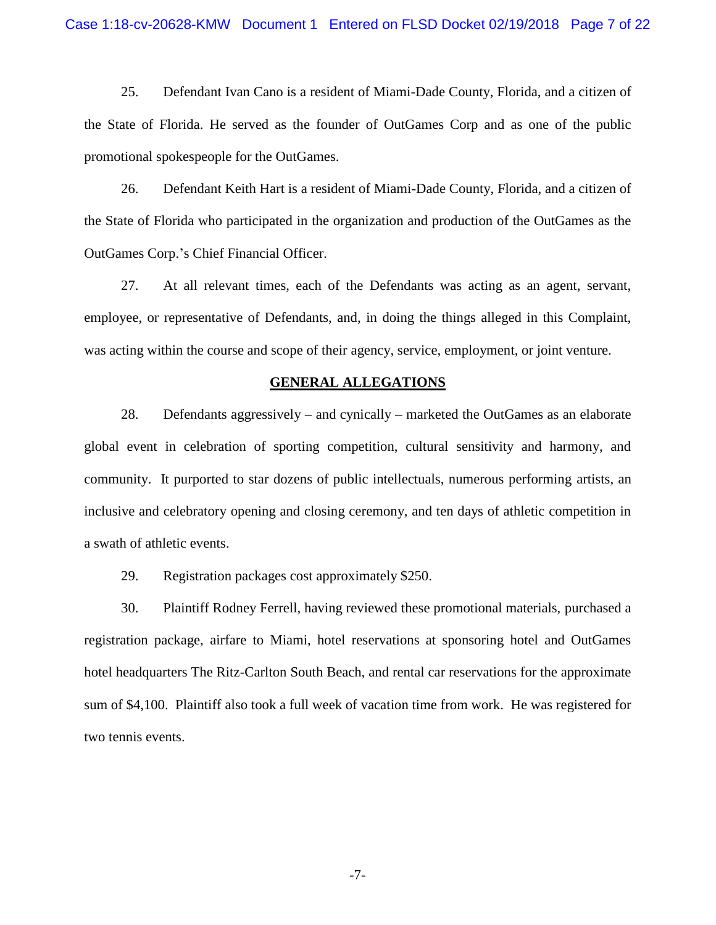25. Defendant Ivan Cano is a resident of Miami-Dade County, Florida, and a citizen of the State of Florida. He served as the founder of OutGames Corp and as one of the public promotional spokespeople for the OutGames.

26. Defendant Keith Hart is a resident of Miami-Dade County, Florida, and a citizen of the State of Florida who participated in the organization and production of the OutGames as the OutGames Corp.'s Chief Financial Officer.

27. At all relevant times, each of the Defendants was acting as an agent, servant, employee, or representative of Defendants, and, in doing the things alleged in this Complaint, was acting within the course and scope of their agency, service, employment, or joint venture.

#### **GENERAL ALLEGATIONS**

28. Defendants aggressively – and cynically – marketed the OutGames as an elaborate global event in celebration of sporting competition, cultural sensitivity and harmony, and community. It purported to star dozens of public intellectuals, numerous performing artists, an inclusive and celebratory opening and closing ceremony, and ten days of athletic competition in a swath of athletic events.

29. Registration packages cost approximately \$250.

30. Plaintiff Rodney Ferrell, having reviewed these promotional materials, purchased a registration package, airfare to Miami, hotel reservations at sponsoring hotel and OutGames hotel headquarters The Ritz-Carlton South Beach, and rental car reservations for the approximate sum of \$4,100. Plaintiff also took a full week of vacation time from work. He was registered for two tennis events.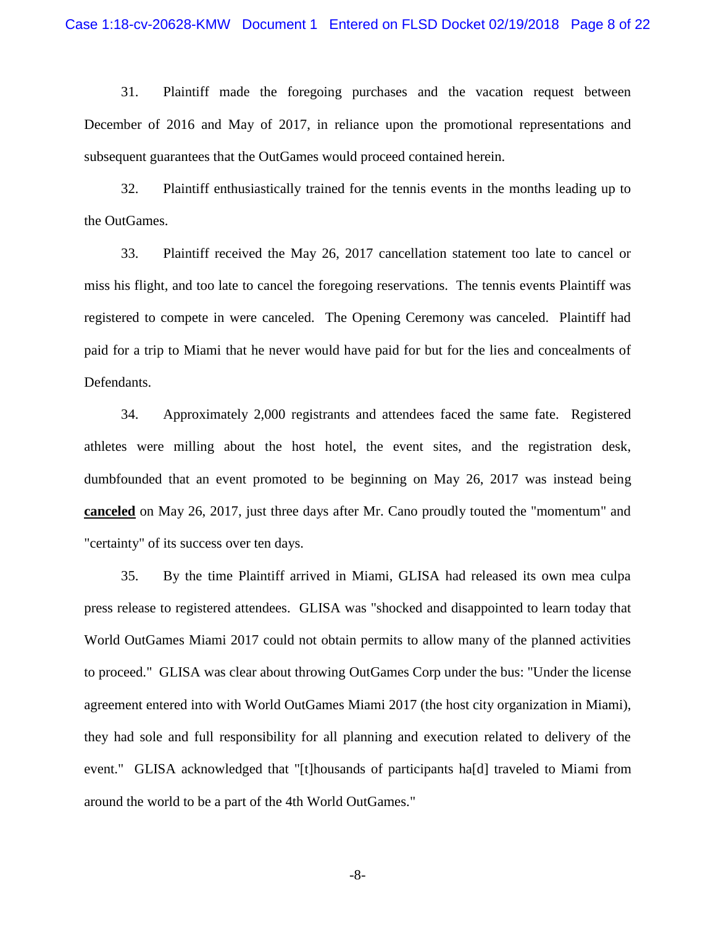31. Plaintiff made the foregoing purchases and the vacation request between December of 2016 and May of 2017, in reliance upon the promotional representations and subsequent guarantees that the OutGames would proceed contained herein.

32. Plaintiff enthusiastically trained for the tennis events in the months leading up to the OutGames.

33. Plaintiff received the May 26, 2017 cancellation statement too late to cancel or miss his flight, and too late to cancel the foregoing reservations. The tennis events Plaintiff was registered to compete in were canceled. The Opening Ceremony was canceled. Plaintiff had paid for a trip to Miami that he never would have paid for but for the lies and concealments of Defendants.

34. Approximately 2,000 registrants and attendees faced the same fate. Registered athletes were milling about the host hotel, the event sites, and the registration desk, dumbfounded that an event promoted to be beginning on May 26, 2017 was instead being **canceled** on May 26, 2017, just three days after Mr. Cano proudly touted the "momentum" and "certainty" of its success over ten days.

35. By the time Plaintiff arrived in Miami, GLISA had released its own mea culpa press release to registered attendees. GLISA was "shocked and disappointed to learn today that World OutGames Miami 2017 could not obtain permits to allow many of the planned activities to proceed." GLISA was clear about throwing OutGames Corp under the bus: "Under the license agreement entered into with World OutGames Miami 2017 (the host city organization in Miami), they had sole and full responsibility for all planning and execution related to delivery of the event." GLISA acknowledged that "[t]housands of participants ha[d] traveled to Miami from around the world to be a part of the 4th World OutGames."

-8-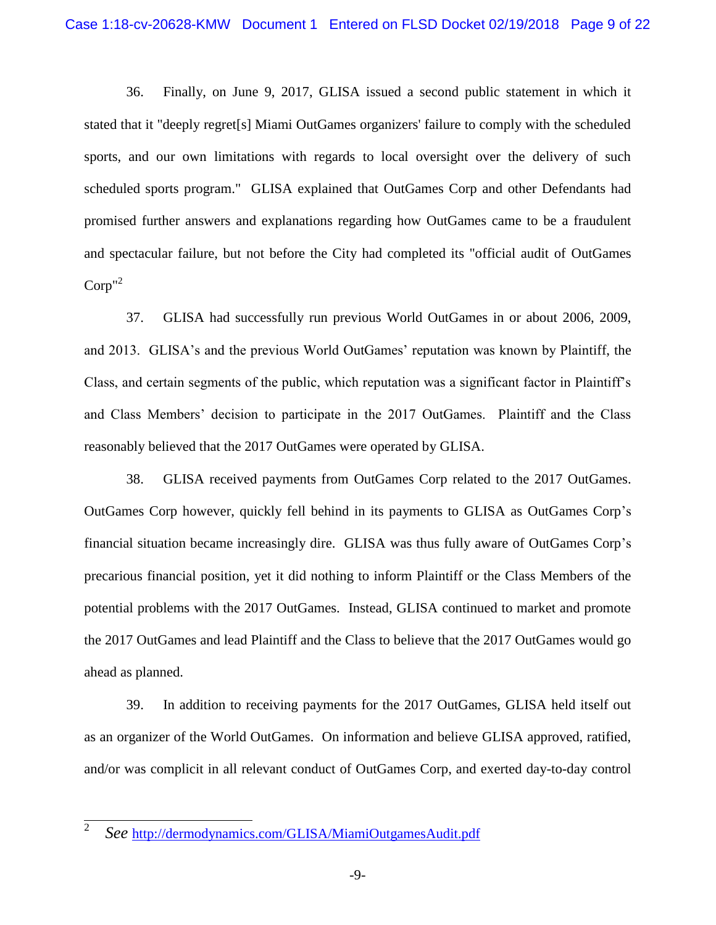36. Finally, on June 9, 2017, GLISA issued a second public statement in which it stated that it "deeply regret[s] Miami OutGames organizers' failure to comply with the scheduled sports, and our own limitations with regards to local oversight over the delivery of such scheduled sports program." GLISA explained that OutGames Corp and other Defendants had promised further answers and explanations regarding how OutGames came to be a fraudulent and spectacular failure, but not before the City had completed its "official audit of OutGames  $\mathrm{Corp}^{n^2}$ 

37. GLISA had successfully run previous World OutGames in or about 2006, 2009, and 2013. GLISA's and the previous World OutGames' reputation was known by Plaintiff, the Class, and certain segments of the public, which reputation was a significant factor in Plaintiff's and Class Members' decision to participate in the 2017 OutGames. Plaintiff and the Class reasonably believed that the 2017 OutGames were operated by GLISA.

38. GLISA received payments from OutGames Corp related to the 2017 OutGames. OutGames Corp however, quickly fell behind in its payments to GLISA as OutGames Corp's financial situation became increasingly dire. GLISA was thus fully aware of OutGames Corp's precarious financial position, yet it did nothing to inform Plaintiff or the Class Members of the potential problems with the 2017 OutGames. Instead, GLISA continued to market and promote the 2017 OutGames and lead Plaintiff and the Class to believe that the 2017 OutGames would go ahead as planned.

39. In addition to receiving payments for the 2017 OutGames, GLISA held itself out as an organizer of the World OutGames. On information and believe GLISA approved, ratified, and/or was complicit in all relevant conduct of OutGames Corp, and exerted day-to-day control

 $\overline{2}$ *See* [http://dermodynamics.com/GLISA/MiamiOutgamesAudit.pdf](dermodynamics.com/GLISA/MiamiOutgamesAudit.pdf)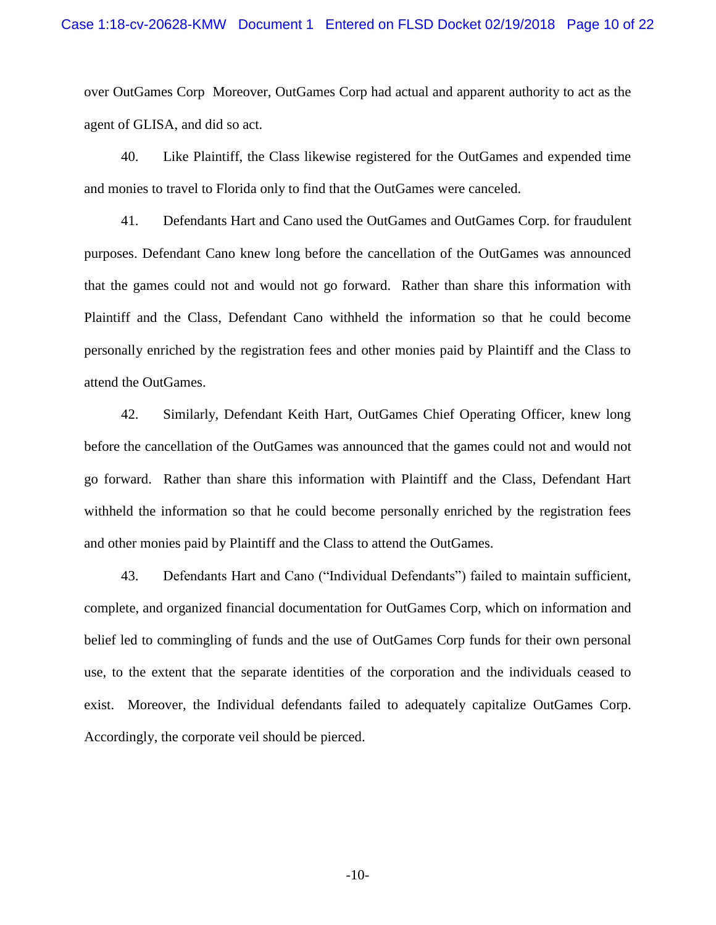over OutGames Corp Moreover, OutGames Corp had actual and apparent authority to act as the agent of GLISA, and did so act.

40. Like Plaintiff, the Class likewise registered for the OutGames and expended time and monies to travel to Florida only to find that the OutGames were canceled.

41. Defendants Hart and Cano used the OutGames and OutGames Corp. for fraudulent purposes. Defendant Cano knew long before the cancellation of the OutGames was announced that the games could not and would not go forward. Rather than share this information with Plaintiff and the Class, Defendant Cano withheld the information so that he could become personally enriched by the registration fees and other monies paid by Plaintiff and the Class to attend the OutGames.

42. Similarly, Defendant Keith Hart, OutGames Chief Operating Officer, knew long before the cancellation of the OutGames was announced that the games could not and would not go forward. Rather than share this information with Plaintiff and the Class, Defendant Hart withheld the information so that he could become personally enriched by the registration fees and other monies paid by Plaintiff and the Class to attend the OutGames.

43. Defendants Hart and Cano ("Individual Defendants") failed to maintain sufficient, complete, and organized financial documentation for OutGames Corp, which on information and belief led to commingling of funds and the use of OutGames Corp funds for their own personal use, to the extent that the separate identities of the corporation and the individuals ceased to exist. Moreover, the Individual defendants failed to adequately capitalize OutGames Corp. Accordingly, the corporate veil should be pierced.

-10-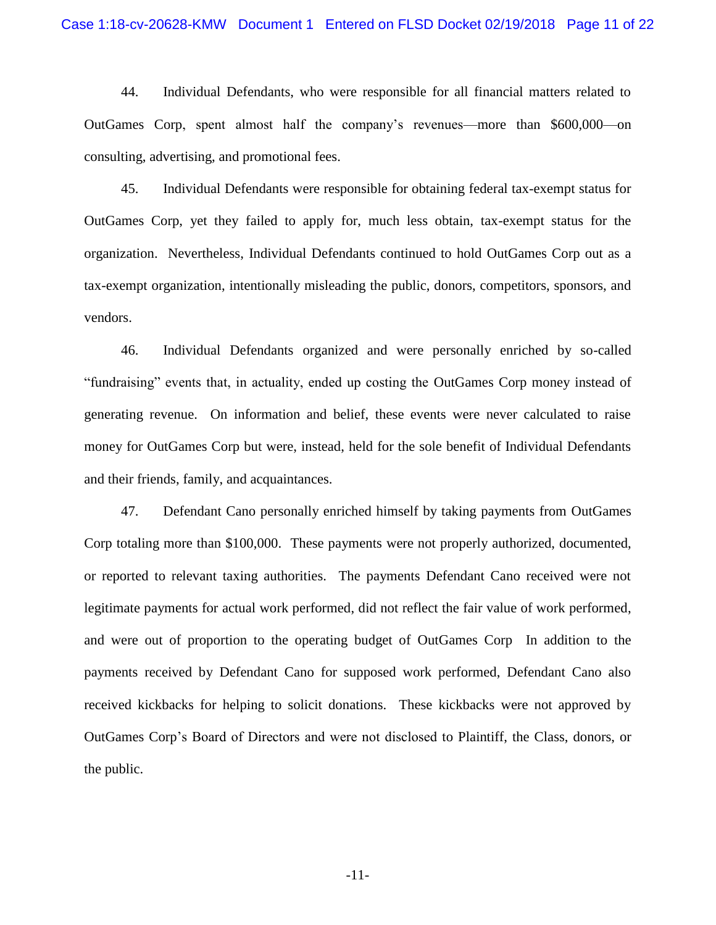44. Individual Defendants, who were responsible for all financial matters related to OutGames Corp, spent almost half the company's revenues—more than \$600,000—on consulting, advertising, and promotional fees.

45. Individual Defendants were responsible for obtaining federal tax-exempt status for OutGames Corp, yet they failed to apply for, much less obtain, tax-exempt status for the organization. Nevertheless, Individual Defendants continued to hold OutGames Corp out as a tax-exempt organization, intentionally misleading the public, donors, competitors, sponsors, and vendors.

46. Individual Defendants organized and were personally enriched by so-called "fundraising" events that, in actuality, ended up costing the OutGames Corp money instead of generating revenue. On information and belief, these events were never calculated to raise money for OutGames Corp but were, instead, held for the sole benefit of Individual Defendants and their friends, family, and acquaintances.

47. Defendant Cano personally enriched himself by taking payments from OutGames Corp totaling more than \$100,000. These payments were not properly authorized, documented, or reported to relevant taxing authorities. The payments Defendant Cano received were not legitimate payments for actual work performed, did not reflect the fair value of work performed, and were out of proportion to the operating budget of OutGames Corp In addition to the payments received by Defendant Cano for supposed work performed, Defendant Cano also received kickbacks for helping to solicit donations. These kickbacks were not approved by OutGames Corp's Board of Directors and were not disclosed to Plaintiff, the Class, donors, or the public.

-11-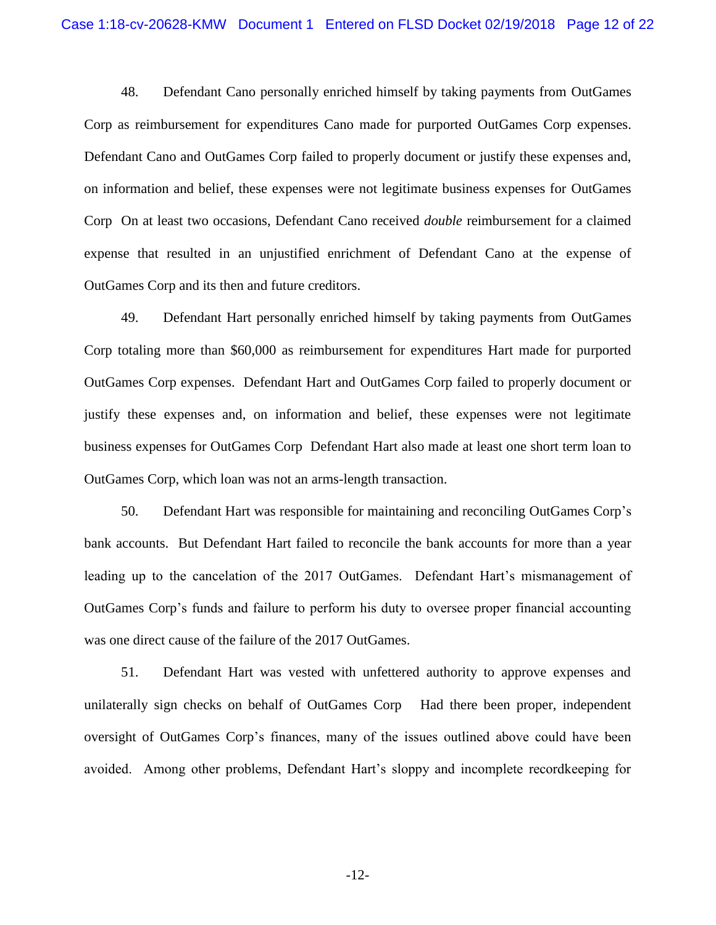48. Defendant Cano personally enriched himself by taking payments from OutGames Corp as reimbursement for expenditures Cano made for purported OutGames Corp expenses. Defendant Cano and OutGames Corp failed to properly document or justify these expenses and, on information and belief, these expenses were not legitimate business expenses for OutGames Corp On at least two occasions, Defendant Cano received *double* reimbursement for a claimed expense that resulted in an unjustified enrichment of Defendant Cano at the expense of OutGames Corp and its then and future creditors.

49. Defendant Hart personally enriched himself by taking payments from OutGames Corp totaling more than \$60,000 as reimbursement for expenditures Hart made for purported OutGames Corp expenses. Defendant Hart and OutGames Corp failed to properly document or justify these expenses and, on information and belief, these expenses were not legitimate business expenses for OutGames Corp Defendant Hart also made at least one short term loan to OutGames Corp, which loan was not an arms-length transaction.

50. Defendant Hart was responsible for maintaining and reconciling OutGames Corp's bank accounts. But Defendant Hart failed to reconcile the bank accounts for more than a year leading up to the cancelation of the 2017 OutGames. Defendant Hart's mismanagement of OutGames Corp's funds and failure to perform his duty to oversee proper financial accounting was one direct cause of the failure of the 2017 OutGames.

51. Defendant Hart was vested with unfettered authority to approve expenses and unilaterally sign checks on behalf of OutGames Corp Had there been proper, independent oversight of OutGames Corp's finances, many of the issues outlined above could have been avoided. Among other problems, Defendant Hart's sloppy and incomplete recordkeeping for

-12-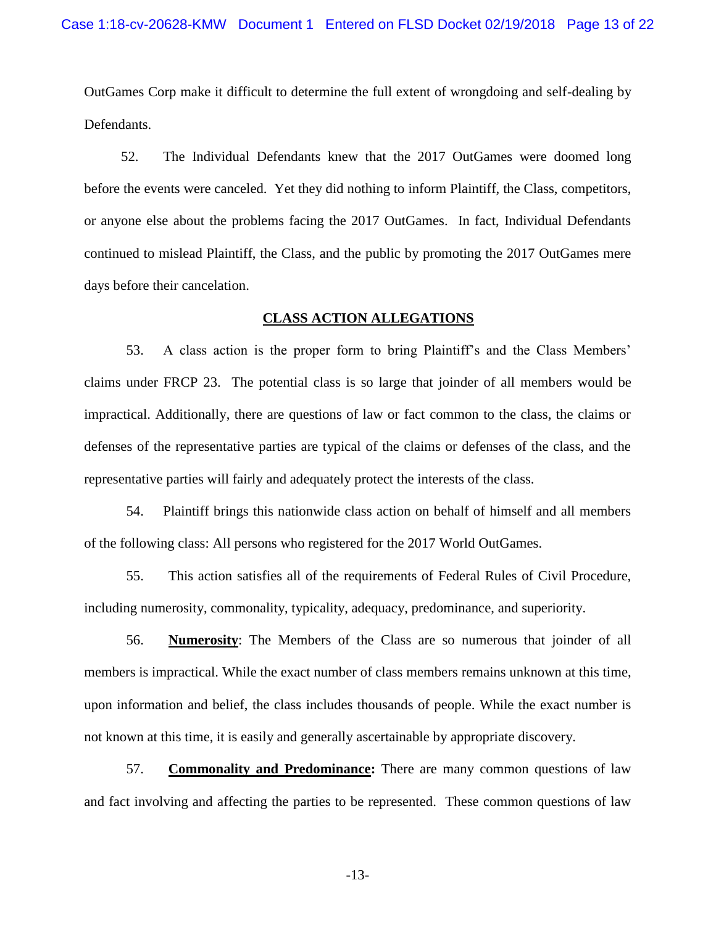OutGames Corp make it difficult to determine the full extent of wrongdoing and self-dealing by Defendants.

52. The Individual Defendants knew that the 2017 OutGames were doomed long before the events were canceled. Yet they did nothing to inform Plaintiff, the Class, competitors, or anyone else about the problems facing the 2017 OutGames. In fact, Individual Defendants continued to mislead Plaintiff, the Class, and the public by promoting the 2017 OutGames mere days before their cancelation.

#### **CLASS ACTION ALLEGATIONS**

53. A class action is the proper form to bring Plaintiff's and the Class Members' claims under FRCP 23. The potential class is so large that joinder of all members would be impractical. Additionally, there are questions of law or fact common to the class, the claims or defenses of the representative parties are typical of the claims or defenses of the class, and the representative parties will fairly and adequately protect the interests of the class.

54. Plaintiff brings this nationwide class action on behalf of himself and all members of the following class: All persons who registered for the 2017 World OutGames.

55. This action satisfies all of the requirements of Federal Rules of Civil Procedure, including numerosity, commonality, typicality, adequacy, predominance, and superiority.

56. **Numerosity**: The Members of the Class are so numerous that joinder of all members is impractical. While the exact number of class members remains unknown at this time, upon information and belief, the class includes thousands of people. While the exact number is not known at this time, it is easily and generally ascertainable by appropriate discovery.

57. **Commonality and Predominance:** There are many common questions of law and fact involving and affecting the parties to be represented. These common questions of law

-13-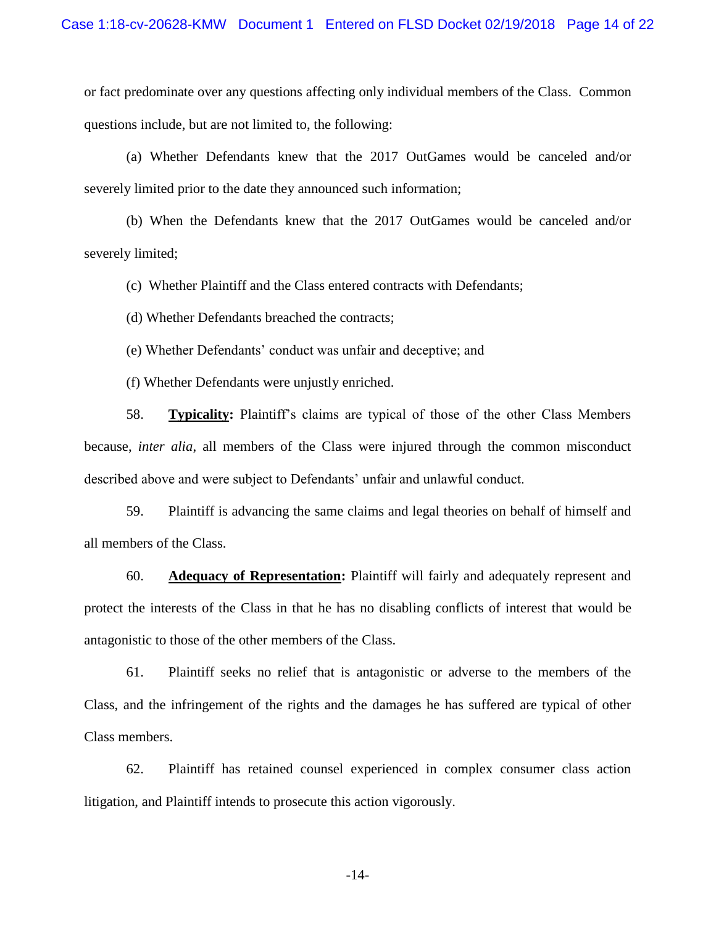or fact predominate over any questions affecting only individual members of the Class. Common questions include, but are not limited to, the following:

(a) Whether Defendants knew that the 2017 OutGames would be canceled and/or severely limited prior to the date they announced such information;

(b) When the Defendants knew that the 2017 OutGames would be canceled and/or severely limited;

(c) Whether Plaintiff and the Class entered contracts with Defendants;

(d) Whether Defendants breached the contracts;

(e) Whether Defendants' conduct was unfair and deceptive; and

(f) Whether Defendants were unjustly enriched.

58. **Typicality:** Plaintiff's claims are typical of those of the other Class Members because, *inter alia*, all members of the Class were injured through the common misconduct described above and were subject to Defendants' unfair and unlawful conduct.

59. Plaintiff is advancing the same claims and legal theories on behalf of himself and all members of the Class.

60. **Adequacy of Representation:** Plaintiff will fairly and adequately represent and protect the interests of the Class in that he has no disabling conflicts of interest that would be antagonistic to those of the other members of the Class.

61. Plaintiff seeks no relief that is antagonistic or adverse to the members of the Class, and the infringement of the rights and the damages he has suffered are typical of other Class members.

62. Plaintiff has retained counsel experienced in complex consumer class action litigation, and Plaintiff intends to prosecute this action vigorously.

-14-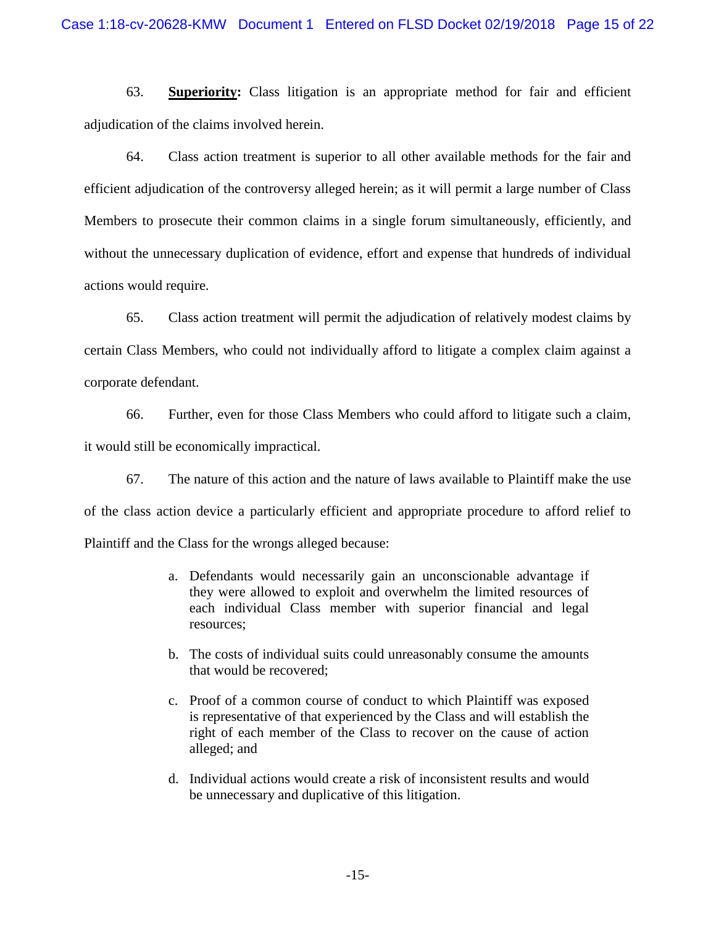63. **Superiority:** Class litigation is an appropriate method for fair and efficient adjudication of the claims involved herein.

64. Class action treatment is superior to all other available methods for the fair and efficient adjudication of the controversy alleged herein; as it will permit a large number of Class Members to prosecute their common claims in a single forum simultaneously, efficiently, and without the unnecessary duplication of evidence, effort and expense that hundreds of individual actions would require.

65. Class action treatment will permit the adjudication of relatively modest claims by certain Class Members, who could not individually afford to litigate a complex claim against a corporate defendant.

66. Further, even for those Class Members who could afford to litigate such a claim, it would still be economically impractical.

67. The nature of this action and the nature of laws available to Plaintiff make the use of the class action device a particularly efficient and appropriate procedure to afford relief to Plaintiff and the Class for the wrongs alleged because:

- a. Defendants would necessarily gain an unconscionable advantage if they were allowed to exploit and overwhelm the limited resources of each individual Class member with superior financial and legal resources;
- b. The costs of individual suits could unreasonably consume the amounts that would be recovered;
- c. Proof of a common course of conduct to which Plaintiff was exposed is representative of that experienced by the Class and will establish the right of each member of the Class to recover on the cause of action alleged; and
- d. Individual actions would create a risk of inconsistent results and would be unnecessary and duplicative of this litigation.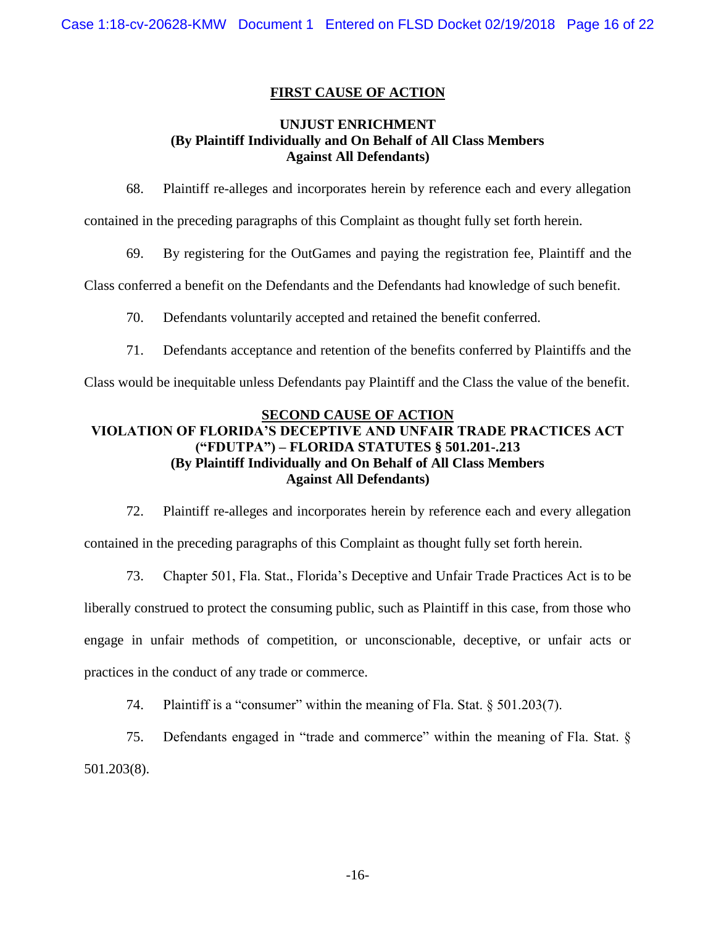# **FIRST CAUSE OF ACTION**

## **UNJUST ENRICHMENT (By Plaintiff Individually and On Behalf of All Class Members Against All Defendants)**

68. Plaintiff re-alleges and incorporates herein by reference each and every allegation

contained in the preceding paragraphs of this Complaint as thought fully set forth herein.

69. By registering for the OutGames and paying the registration fee, Plaintiff and the

Class conferred a benefit on the Defendants and the Defendants had knowledge of such benefit.

- 70. Defendants voluntarily accepted and retained the benefit conferred.
- 71. Defendants acceptance and retention of the benefits conferred by Plaintiffs and the

Class would be inequitable unless Defendants pay Plaintiff and the Class the value of the benefit.

#### **SECOND CAUSE OF ACTION**

# **VIOLATION OF FLORIDA'S DECEPTIVE AND UNFAIR TRADE PRACTICES ACT ("FDUTPA") – FLORIDA STATUTES § 501.201-.213 (By Plaintiff Individually and On Behalf of All Class Members Against All Defendants)**

72. Plaintiff re-alleges and incorporates herein by reference each and every allegation contained in the preceding paragraphs of this Complaint as thought fully set forth herein.

73. Chapter 501, Fla. Stat., Florida's Deceptive and Unfair Trade Practices Act is to be liberally construed to protect the consuming public, such as Plaintiff in this case, from those who engage in unfair methods of competition, or unconscionable, deceptive, or unfair acts or practices in the conduct of any trade or commerce.

74. Plaintiff is a "consumer" within the meaning of Fla. Stat. § 501.203(7).

75. Defendants engaged in "trade and commerce" within the meaning of Fla. Stat. § 501.203(8).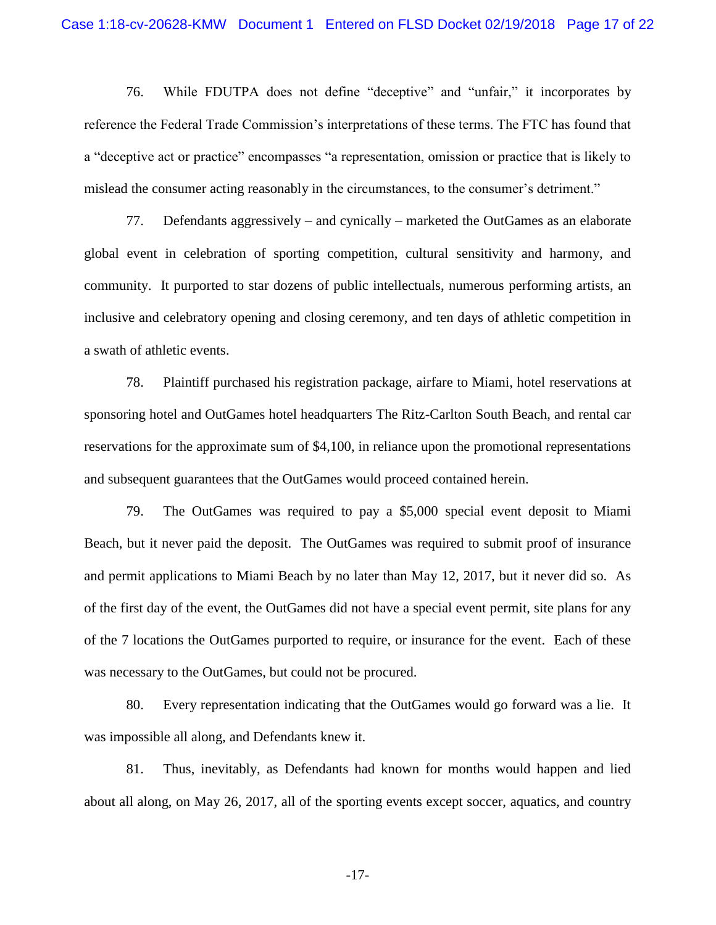76. While FDUTPA does not define "deceptive" and "unfair," it incorporates by reference the Federal Trade Commission's interpretations of these terms. The FTC has found that a "deceptive act or practice" encompasses "a representation, omission or practice that is likely to mislead the consumer acting reasonably in the circumstances, to the consumer's detriment."

77. Defendants aggressively – and cynically – marketed the OutGames as an elaborate global event in celebration of sporting competition, cultural sensitivity and harmony, and community. It purported to star dozens of public intellectuals, numerous performing artists, an inclusive and celebratory opening and closing ceremony, and ten days of athletic competition in a swath of athletic events.

78. Plaintiff purchased his registration package, airfare to Miami, hotel reservations at sponsoring hotel and OutGames hotel headquarters The Ritz-Carlton South Beach, and rental car reservations for the approximate sum of \$4,100, in reliance upon the promotional representations and subsequent guarantees that the OutGames would proceed contained herein.

79. The OutGames was required to pay a \$5,000 special event deposit to Miami Beach, but it never paid the deposit. The OutGames was required to submit proof of insurance and permit applications to Miami Beach by no later than May 12, 2017, but it never did so. As of the first day of the event, the OutGames did not have a special event permit, site plans for any of the 7 locations the OutGames purported to require, or insurance for the event. Each of these was necessary to the OutGames, but could not be procured.

80. Every representation indicating that the OutGames would go forward was a lie. It was impossible all along, and Defendants knew it.

81. Thus, inevitably, as Defendants had known for months would happen and lied about all along, on May 26, 2017, all of the sporting events except soccer, aquatics, and country

-17-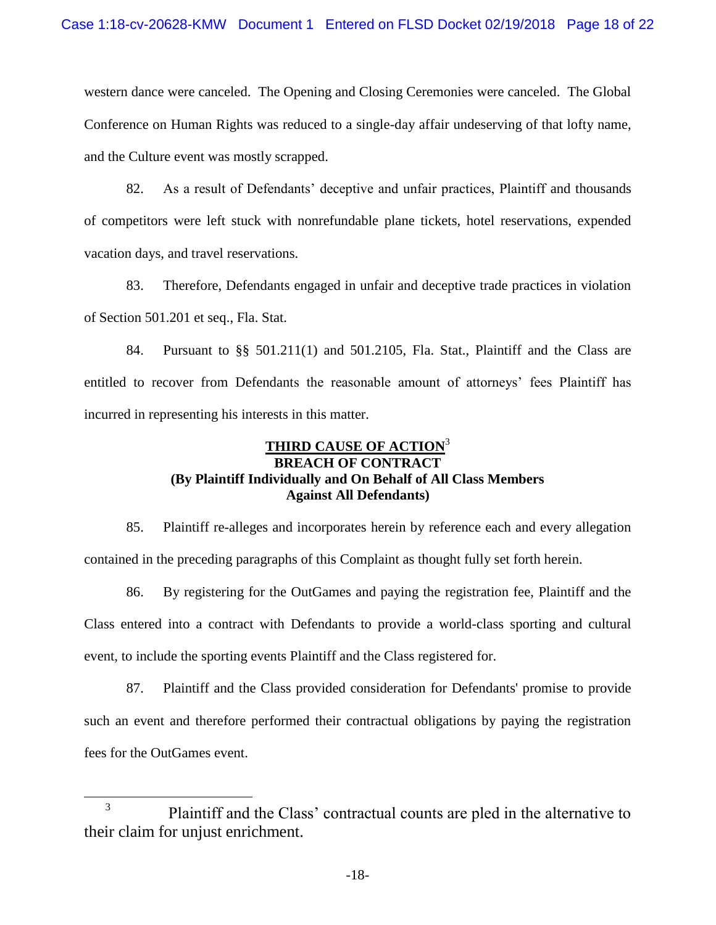western dance were canceled. The Opening and Closing Ceremonies were canceled. The Global Conference on Human Rights was reduced to a single-day affair undeserving of that lofty name, and the Culture event was mostly scrapped.

82. As a result of Defendants' deceptive and unfair practices, Plaintiff and thousands of competitors were left stuck with nonrefundable plane tickets, hotel reservations, expended vacation days, and travel reservations.

83. Therefore, Defendants engaged in unfair and deceptive trade practices in violation of Section 501.201 et seq., Fla. Stat.

84. Pursuant to §§ 501.211(1) and 501.2105, Fla. Stat., Plaintiff and the Class are entitled to recover from Defendants the reasonable amount of attorneys' fees Plaintiff has incurred in representing his interests in this matter.

# **THIRD CAUSE OF ACTION**<sup>3</sup> **BREACH OF CONTRACT (By Plaintiff Individually and On Behalf of All Class Members Against All Defendants)**

85. Plaintiff re-alleges and incorporates herein by reference each and every allegation contained in the preceding paragraphs of this Complaint as thought fully set forth herein.

86. By registering for the OutGames and paying the registration fee, Plaintiff and the Class entered into a contract with Defendants to provide a world-class sporting and cultural event, to include the sporting events Plaintiff and the Class registered for.

87. Plaintiff and the Class provided consideration for Defendants' promise to provide such an event and therefore performed their contractual obligations by paying the registration fees for the OutGames event.

 $\overline{a}$ 

<sup>3</sup> Plaintiff and the Class' contractual counts are pled in the alternative to their claim for unjust enrichment.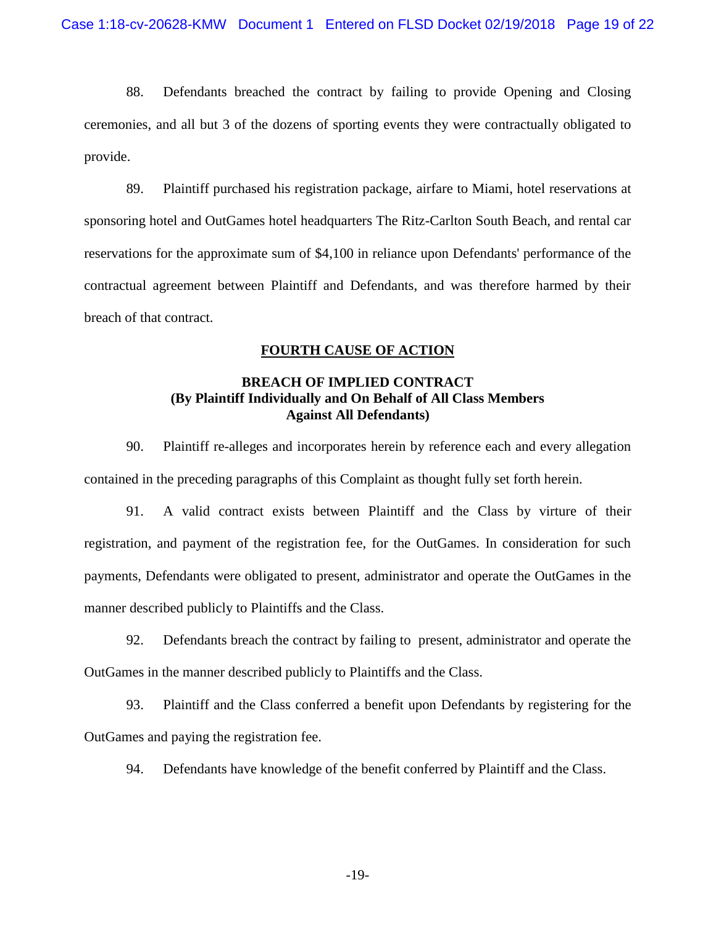88. Defendants breached the contract by failing to provide Opening and Closing ceremonies, and all but 3 of the dozens of sporting events they were contractually obligated to provide.

89. Plaintiff purchased his registration package, airfare to Miami, hotel reservations at sponsoring hotel and OutGames hotel headquarters The Ritz-Carlton South Beach, and rental car reservations for the approximate sum of \$4,100 in reliance upon Defendants' performance of the contractual agreement between Plaintiff and Defendants, and was therefore harmed by their breach of that contract.

# **FOURTH CAUSE OF ACTION**

# **BREACH OF IMPLIED CONTRACT (By Plaintiff Individually and On Behalf of All Class Members Against All Defendants)**

90. Plaintiff re-alleges and incorporates herein by reference each and every allegation contained in the preceding paragraphs of this Complaint as thought fully set forth herein.

91. A valid contract exists between Plaintiff and the Class by virture of their registration, and payment of the registration fee, for the OutGames. In consideration for such payments, Defendants were obligated to present, administrator and operate the OutGames in the manner described publicly to Plaintiffs and the Class.

92. Defendants breach the contract by failing to present, administrator and operate the OutGames in the manner described publicly to Plaintiffs and the Class.

93. Plaintiff and the Class conferred a benefit upon Defendants by registering for the OutGames and paying the registration fee.

94. Defendants have knowledge of the benefit conferred by Plaintiff and the Class.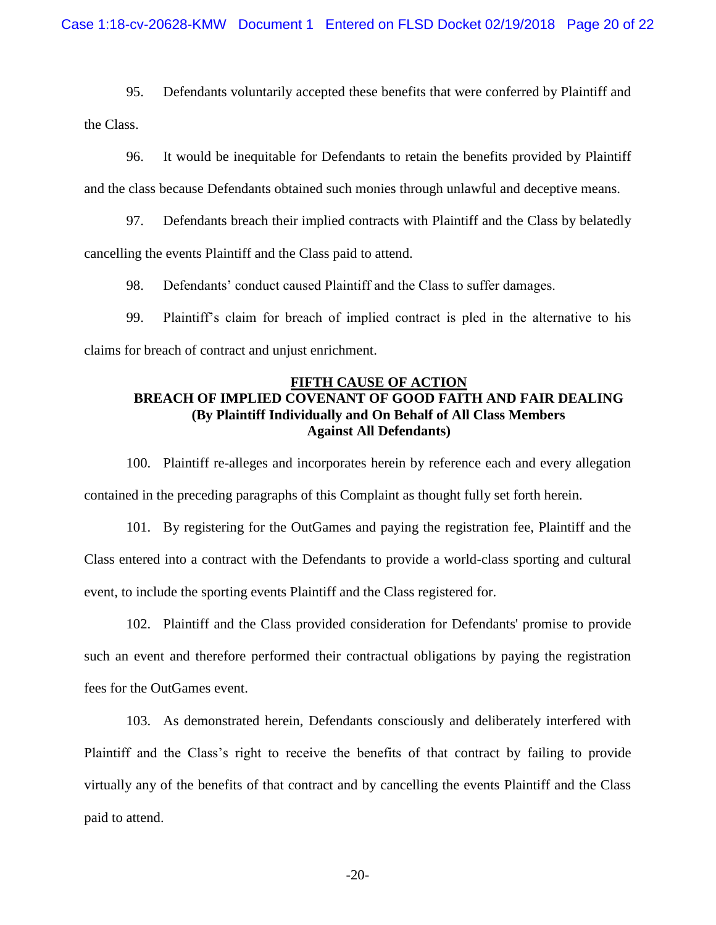95. Defendants voluntarily accepted these benefits that were conferred by Plaintiff and the Class.

96. It would be inequitable for Defendants to retain the benefits provided by Plaintiff and the class because Defendants obtained such monies through unlawful and deceptive means.

97. Defendants breach their implied contracts with Plaintiff and the Class by belatedly cancelling the events Plaintiff and the Class paid to attend.

98. Defendants' conduct caused Plaintiff and the Class to suffer damages.

99. Plaintiff's claim for breach of implied contract is pled in the alternative to his claims for breach of contract and unjust enrichment.

## **FIFTH CAUSE OF ACTION BREACH OF IMPLIED COVENANT OF GOOD FAITH AND FAIR DEALING (By Plaintiff Individually and On Behalf of All Class Members Against All Defendants)**

100. Plaintiff re-alleges and incorporates herein by reference each and every allegation contained in the preceding paragraphs of this Complaint as thought fully set forth herein.

101. By registering for the OutGames and paying the registration fee, Plaintiff and the Class entered into a contract with the Defendants to provide a world-class sporting and cultural event, to include the sporting events Plaintiff and the Class registered for.

102. Plaintiff and the Class provided consideration for Defendants' promise to provide such an event and therefore performed their contractual obligations by paying the registration fees for the OutGames event.

103. As demonstrated herein, Defendants consciously and deliberately interfered with Plaintiff and the Class's right to receive the benefits of that contract by failing to provide virtually any of the benefits of that contract and by cancelling the events Plaintiff and the Class paid to attend.

-20-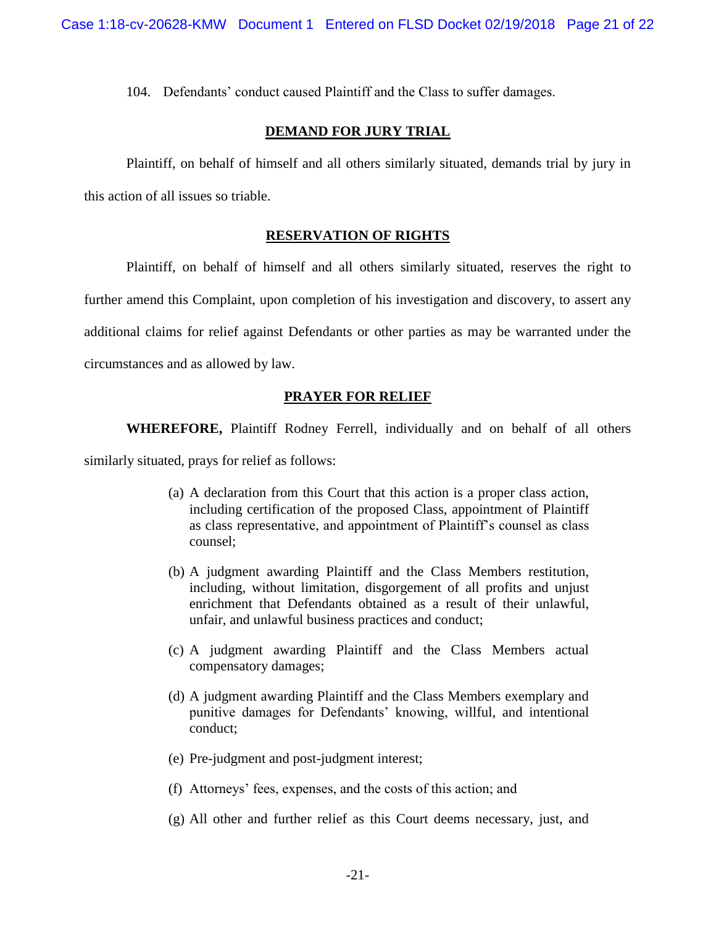104. Defendants' conduct caused Plaintiff and the Class to suffer damages.

## **DEMAND FOR JURY TRIAL**

Plaintiff, on behalf of himself and all others similarly situated, demands trial by jury in this action of all issues so triable.

## **RESERVATION OF RIGHTS**

Plaintiff, on behalf of himself and all others similarly situated, reserves the right to further amend this Complaint, upon completion of his investigation and discovery, to assert any additional claims for relief against Defendants or other parties as may be warranted under the circumstances and as allowed by law.

## **PRAYER FOR RELIEF**

**WHEREFORE,** Plaintiff Rodney Ferrell, individually and on behalf of all others

similarly situated, prays for relief as follows:

- (a) A declaration from this Court that this action is a proper class action, including certification of the proposed Class, appointment of Plaintiff as class representative, and appointment of Plaintiff's counsel as class counsel;
- (b) A judgment awarding Plaintiff and the Class Members restitution, including, without limitation, disgorgement of all profits and unjust enrichment that Defendants obtained as a result of their unlawful, unfair, and unlawful business practices and conduct;
- (c) A judgment awarding Plaintiff and the Class Members actual compensatory damages;
- (d) A judgment awarding Plaintiff and the Class Members exemplary and punitive damages for Defendants' knowing, willful, and intentional conduct;
- (e) Pre-judgment and post-judgment interest;
- (f) Attorneys' fees, expenses, and the costs of this action; and
- (g) All other and further relief as this Court deems necessary, just, and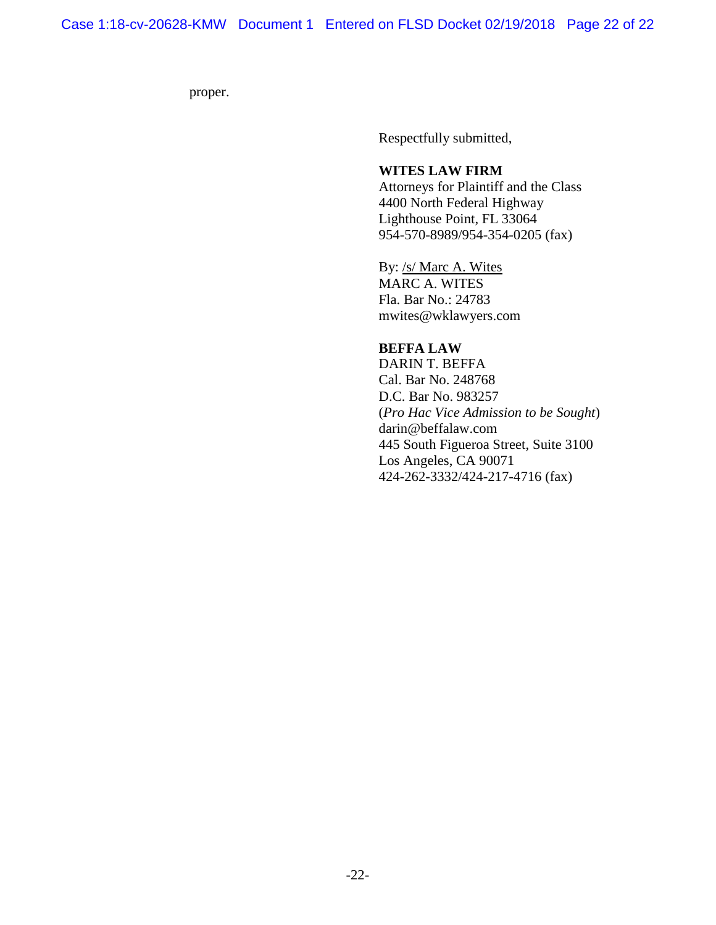proper.

Respectfully submitted,

## **WITES LAW FIRM**

Attorneys for Plaintiff and the Class 4400 North Federal Highway Lighthouse Point, FL 33064 954-570-8989/954-354-0205 (fax)

By: /s/ Marc A. Wites MARC A. WITES Fla. Bar No.: 24783 [mwites@wklawyers.com](mailto:mwites@wklawyers.com)

### **BEFFA LAW**

DARIN T. BEFFA Cal. Bar No. 248768 D.C. Bar No. 983257 (*Pro Hac Vice Admission to be Sought*) darin@beffalaw.com 445 South Figueroa Street, Suite 3100 Los Angeles, CA 90071 424-262-3332/424-217-4716 (fax)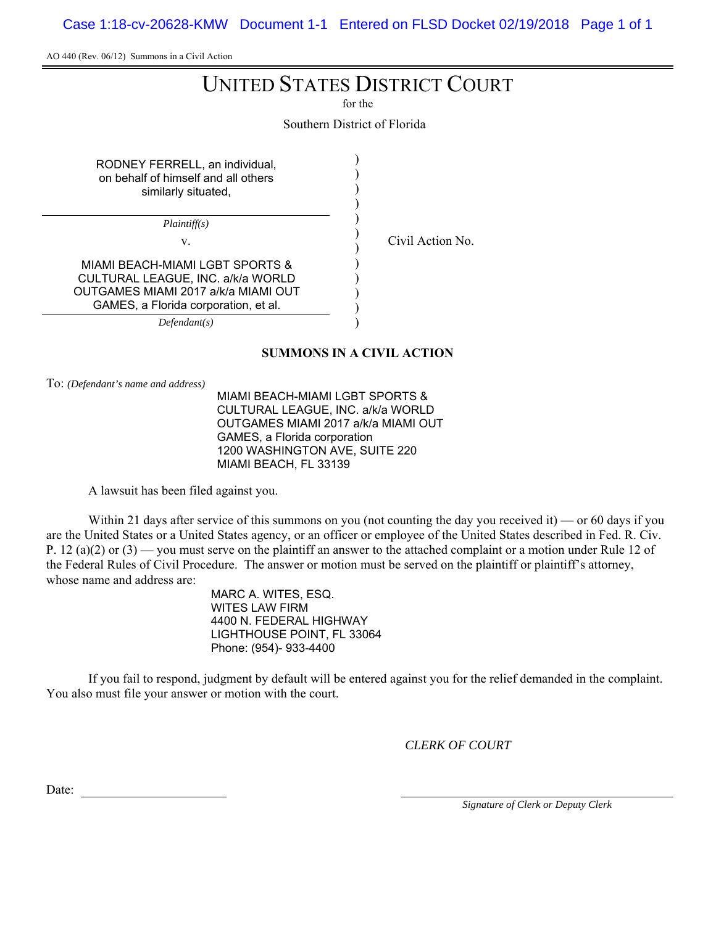Case 1:18-cv-20628-KMW Document 1-1 Entered on FLSD Docket 02/19/2018 Page 1 of 1

AO 440 (Rev. 06/12) Summons in a Civil Action

# UNITED STATES DISTRICT COURT

for the

Southern District of Florida

| RODNEY FERRELL, an individual,<br>on behalf of himself and all others<br>similarly situated,                                                        |  |
|-----------------------------------------------------------------------------------------------------------------------------------------------------|--|
| Plaintiff(s)                                                                                                                                        |  |
| V.                                                                                                                                                  |  |
| MIAMI REACH-MIAMI LGRT SPORTS &<br>CULTURAL LEAGUE, INC. a/k/a WORLD<br>OUTGAMES MIAMI 2017 a/k/a MIAMI OUT<br>GAMES, a Florida corporation, et al. |  |
| Defendant(s)                                                                                                                                        |  |

# Civil Action No.

To: *(Defendant's name and address)*

MIAMI BEACH-MIAMI LGBT SPORTS & CULTURAL LEAGUE, INC. a/k/a WORLD OUTGAMES MIAMI 2017 a/k/a MIAMI OUT GAMES, a Florida corporation 1200 WASHINGTON AVE, SUITE 220 MIAMI BEACH, FL 33139

**SUMMONS IN A CIVIL ACTION**

A lawsuit has been filed against you.

Within 21 days after service of this summons on you (not counting the day you received it) — or 60 days if you are the United States or a United States agency, or an officer or employee of the United States described in Fed. R. Civ. P. 12 (a)(2) or  $(3)$  — you must serve on the plaintiff an answer to the attached complaint or a motion under Rule 12 of the Federal Rules of Civil Procedure. The answer or motion must be served on the plaintiff or plaintiff's attorney, whose name and address are:

> MARC A. WITES, ESQ. WITES LAW FIRM 4400 N. FEDERAL HIGHWAY LIGHTHOUSE POINT, FL 33064 Phone: (954)- 933-4400

If you fail to respond, judgment by default will be entered against you for the relief demanded in the complaint. You also must file your answer or motion with the court.

*CLERK OF COURT*

Date: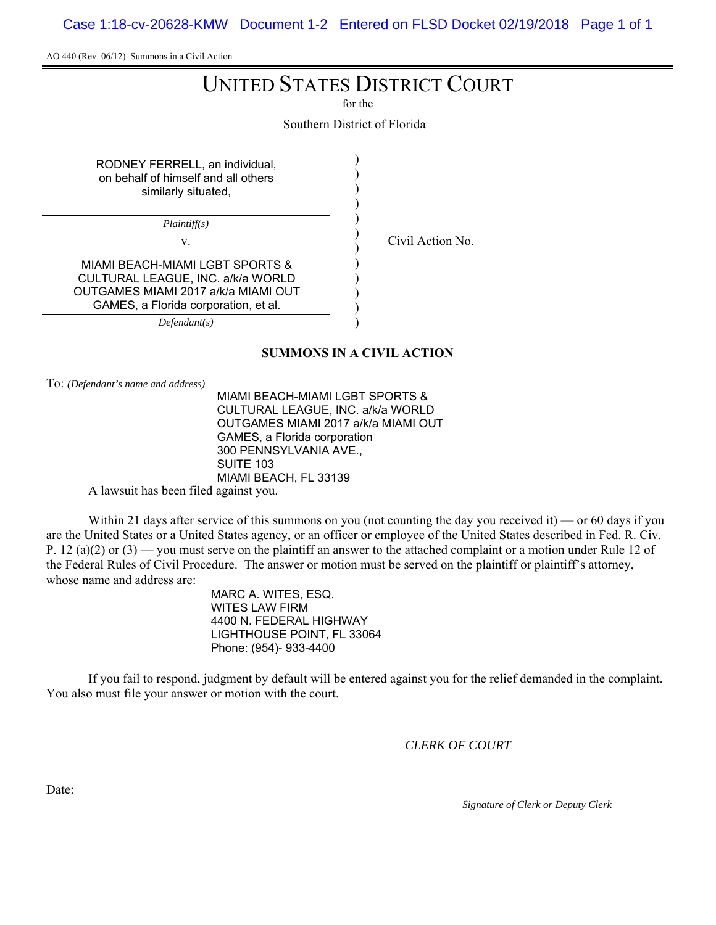Case 1:18-cv-20628-KMW Document 1-2 Entered on FLSD Docket 02/19/2018 Page 1 of 1

AO 440 (Rev. 06/12) Summons in a Civil Action

# UNITED STATES DISTRICT COURT

for the

Southern District of Florida

| RODNEY FERRELL, an individual,<br>on behalf of himself and all others<br>similarly situated,                                                        |  |
|-----------------------------------------------------------------------------------------------------------------------------------------------------|--|
| Plaintiff(s)                                                                                                                                        |  |
| V.                                                                                                                                                  |  |
| MIAMI BEACH-MIAMI LGBT SPORTS &<br>CULTURAL LEAGUE, INC. a/k/a WORLD<br>OUTGAMES MIAMI 2017 a/k/a MIAMI OUT<br>GAMES, a Florida corporation, et al. |  |
| Defendant(s)                                                                                                                                        |  |

# Civil Action No.

**SUMMONS IN A CIVIL ACTION**

To: *(Defendant's name and address)*

MIAMI BEACH-MIAMI LGBT SPORTS & CULTURAL LEAGUE, INC. a/k/a WORLD OUTGAMES MIAMI 2017 a/k/a MIAMI OUT GAMES, a Florida corporation 300 PENNSYLVANIA AVE., SUITE 103 MIAMI BEACH, FL 33139

A lawsuit has been filed against you.

Within 21 days after service of this summons on you (not counting the day you received it) — or 60 days if you are the United States or a United States agency, or an officer or employee of the United States described in Fed. R. Civ. P. 12 (a)(2) or  $(3)$  — you must serve on the plaintiff an answer to the attached complaint or a motion under Rule 12 of the Federal Rules of Civil Procedure. The answer or motion must be served on the plaintiff or plaintiff's attorney, whose name and address are:

> MARC A. WITES, ESQ. WITES LAW FIRM 4400 N. FEDERAL HIGHWAY LIGHTHOUSE POINT, FL 33064 Phone: (954)- 933-4400

If you fail to respond, judgment by default will be entered against you for the relief demanded in the complaint. You also must file your answer or motion with the court.

*CLERK OF COURT*

Date: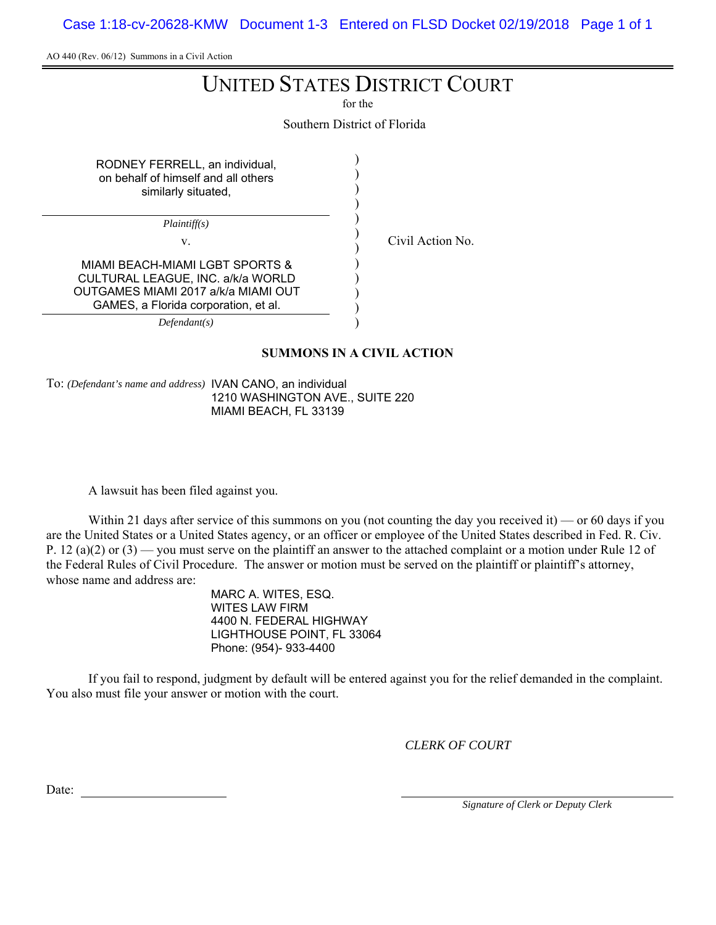Case 1:18-cv-20628-KMW Document 1-3 Entered on FLSD Docket 02/19/2018 Page 1 of 1

AO 440 (Rev. 06/12) Summons in a Civil Action

# UNITED STATES DISTRICT COURT

for the

Southern District of Florida

| RODNEY FERRELL, an individual,<br>on behalf of himself and all others<br>similarly situated,                                                        |  |
|-----------------------------------------------------------------------------------------------------------------------------------------------------|--|
| Plaintiff(s)                                                                                                                                        |  |
| V.                                                                                                                                                  |  |
| MIAMI BEACH-MIAMI LGBT SPORTS &<br>CULTURAL LEAGUE, INC. a/k/a WORLD<br>OUTGAMES MIAMI 2017 a/k/a MIAMI OUT<br>GAMES, a Florida corporation, et al. |  |
| Defendant(s)                                                                                                                                        |  |

Civil Action No.

**SUMMONS IN A CIVIL ACTION**

To: *(Defendant's name and address)* IVAN CANO, an individual 1210 WASHINGTON AVE., SUITE 220 MIAMI BEACH, FL 33139

A lawsuit has been filed against you.

Within 21 days after service of this summons on you (not counting the day you received it) — or 60 days if you are the United States or a United States agency, or an officer or employee of the United States described in Fed. R. Civ. P. 12 (a)(2) or  $(3)$  — you must serve on the plaintiff an answer to the attached complaint or a motion under Rule 12 of the Federal Rules of Civil Procedure. The answer or motion must be served on the plaintiff or plaintiff's attorney, whose name and address are:

> MARC A. WITES, ESQ. WITES LAW FIRM 4400 N. FEDERAL HIGHWAY LIGHTHOUSE POINT, FL 33064 Phone: (954)- 933-4400

If you fail to respond, judgment by default will be entered against you for the relief demanded in the complaint. You also must file your answer or motion with the court.

*CLERK OF COURT*

Date: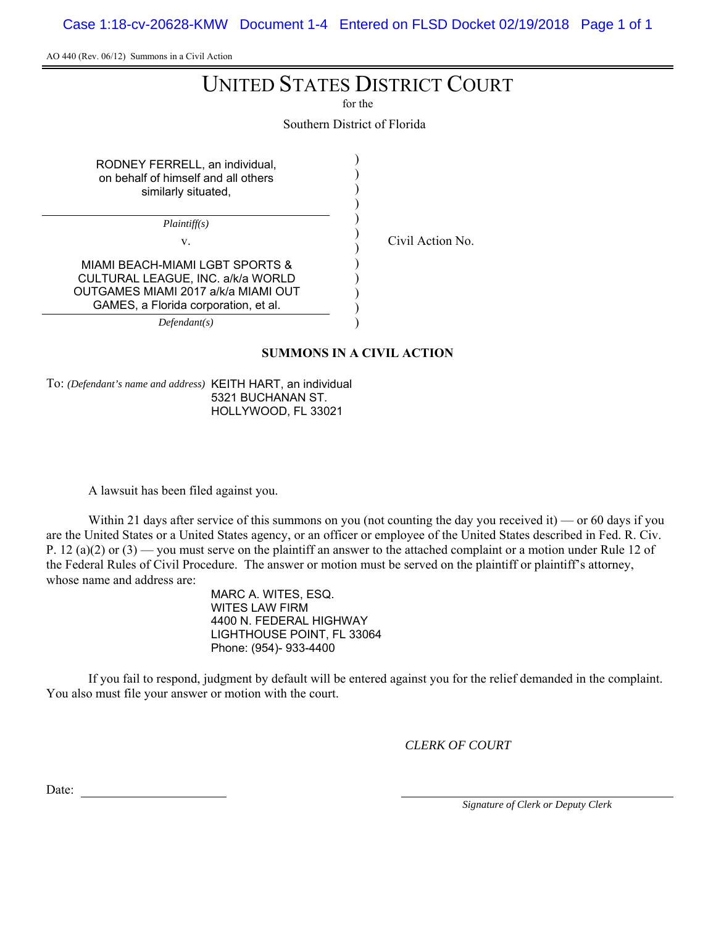Case 1:18-cv-20628-KMW Document 1-4 Entered on FLSD Docket 02/19/2018 Page 1 of 1

AO 440 (Rev. 06/12) Summons in a Civil Action

# UNITED STATES DISTRICT COURT

for the

Southern District of Florida

| RODNEY FERRELL, an individual,<br>on behalf of himself and all others<br>similarly situated,                                                        |  |
|-----------------------------------------------------------------------------------------------------------------------------------------------------|--|
| <i>Plaintiff(s)</i>                                                                                                                                 |  |
| V.                                                                                                                                                  |  |
| MIAMI BEACH-MIAMI LGBT SPORTS &<br>CULTURAL LEAGUE, INC. a/k/a WORLD<br>OUTGAMES MIAMI 2017 a/k/a MIAMI OUT<br>GAMES, a Florida corporation, et al. |  |
| Defendant(s)                                                                                                                                        |  |

Civil Action No.

**SUMMONS IN A CIVIL ACTION**

To: *(Defendant's name and address)* KEITH HART, an individual 5321 BUCHANAN ST. HOLLYWOOD, FL 33021

A lawsuit has been filed against you.

Within 21 days after service of this summons on you (not counting the day you received it) — or 60 days if you are the United States or a United States agency, or an officer or employee of the United States described in Fed. R. Civ. P. 12 (a)(2) or  $(3)$  — you must serve on the plaintiff an answer to the attached complaint or a motion under Rule 12 of the Federal Rules of Civil Procedure. The answer or motion must be served on the plaintiff or plaintiff's attorney, whose name and address are:

> MARC A. WITES, ESQ. WITES LAW FIRM 4400 N. FEDERAL HIGHWAY LIGHTHOUSE POINT, FL 33064 Phone: (954)- 933-4400

If you fail to respond, judgment by default will be entered against you for the relief demanded in the complaint. You also must file your answer or motion with the court.

*CLERK OF COURT*

Date: